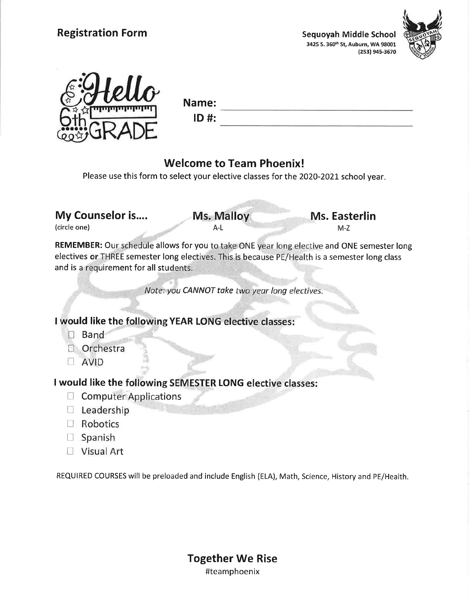



Name:  $ID$ #:

## Welcome to Team Phoenix!

Please use this form to select your elective classes for the 2020-2021 school year.

My Counselor is.... Ms. Malloy Ms. Easterlin

A-L

(circle one) M-Z

REMEMBER: Our schedule allows for you to take ONE year long elective and ONE semester long electives or THREE semester long electives. This is because PE/Health is a semester long class and is a requirement for all students.

CANNOT take two year long

uld like the following YEA<mark>R</mark>

- **D** Band
- Orchestra
- **AVID**

I would like the following SEMESTER LONG

**Computer Applications** 

 $\approx$ 

- $\Box$  Leadership
- □ Robotics
- □ Spanish
- □ Visual Art

REQUIRED COURSES will be preloaded and include English (ELA), Math, Science, History and PE/Health.

Together We Rise #teamphoenix